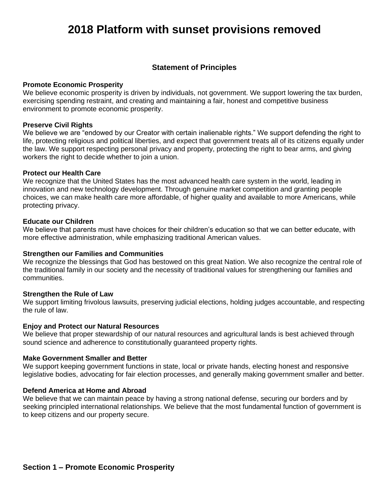## **Statement of Principles**

### **Promote Economic Prosperity**

We believe economic prosperity is driven by individuals, not government. We support lowering the tax burden, exercising spending restraint, and creating and maintaining a fair, honest and competitive business environment to promote economic prosperity.

### **Preserve Civil Rights**

We believe we are "endowed by our Creator with certain inalienable rights." We support defending the right to life, protecting religious and political liberties, and expect that government treats all of its citizens equally under the law. We support respecting personal privacy and property, protecting the right to bear arms, and giving workers the right to decide whether to join a union.

### **Protect our Health Care**

We recognize that the United States has the most advanced health care system in the world, leading in innovation and new technology development. Through genuine market competition and granting people choices, we can make health care more affordable, of higher quality and available to more Americans, while protecting privacy.

## **Educate our Children**

We believe that parents must have choices for their children's education so that we can better educate, with more effective administration, while emphasizing traditional American values.

## **Strengthen our Families and Communities**

We recognize the blessings that God has bestowed on this great Nation. We also recognize the central role of the traditional family in our society and the necessity of traditional values for strengthening our families and communities.

### **Strengthen the Rule of Law**

We support limiting frivolous lawsuits, preserving judicial elections, holding judges accountable, and respecting the rule of law.

### **Enjoy and Protect our Natural Resources**

We believe that proper stewardship of our natural resources and agricultural lands is best achieved through sound science and adherence to constitutionally guaranteed property rights.

### **Make Government Smaller and Better**

We support keeping government functions in state, local or private hands, electing honest and responsive legislative bodies, advocating for fair election processes, and generally making government smaller and better.

## **Defend America at Home and Abroad**

We believe that we can maintain peace by having a strong national defense, securing our borders and by seeking principled international relationships. We believe that the most fundamental function of government is to keep citizens and our property secure.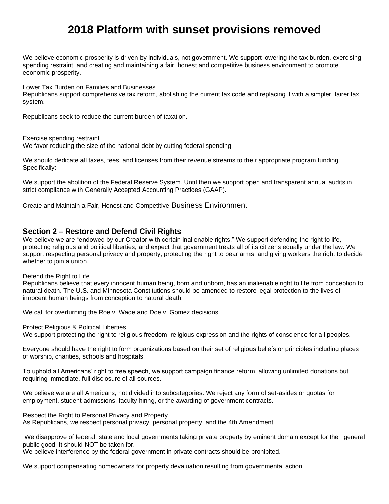We believe economic prosperity is driven by individuals, not government. We support lowering the tax burden, exercising spending restraint, and creating and maintaining a fair, honest and competitive business environment to promote economic prosperity.

Lower Tax Burden on Families and Businesses

Republicans support comprehensive tax reform, abolishing the current tax code and replacing it with a simpler, fairer tax system.

Republicans seek to reduce the current burden of taxation.

Exercise spending restraint

We favor reducing the size of the national debt by cutting federal spending.

We should dedicate all taxes, fees, and licenses from their revenue streams to their appropriate program funding. Specifically:

We support the abolition of the Federal Reserve System. Until then we support open and transparent annual audits in strict compliance with Generally Accepted Accounting Practices (GAAP).

Create and Maintain a Fair, Honest and Competitive Business Environment

## **Section 2 – Restore and Defend Civil Rights**

We believe we are "endowed by our Creator with certain inalienable rights." We support defending the right to life, protecting religious and political liberties, and expect that government treats all of its citizens equally under the law. We support respecting personal privacy and property, protecting the right to bear arms, and giving workers the right to decide whether to join a union.

### Defend the Right to Life

Republicans believe that every innocent human being, born and unborn, has an inalienable right to life from conception to natural death. The U.S. and Minnesota Constitutions should be amended to restore legal protection to the lives of innocent human beings from conception to natural death.

We call for overturning the Roe v. Wade and Doe v. Gomez decisions.

Protect Religious & Political Liberties

We support protecting the right to religious freedom, religious expression and the rights of conscience for all peoples.

Everyone should have the right to form organizations based on their set of religious beliefs or principles including places of worship, charities, schools and hospitals.

To uphold all Americans' right to free speech, we support campaign finance reform, allowing unlimited donations but requiring immediate, full disclosure of all sources.

We believe we are all Americans, not divided into subcategories. We reject any form of set-asides or quotas for employment, student admissions, faculty hiring, or the awarding of government contracts.

Respect the Right to Personal Privacy and Property As Republicans, we respect personal privacy, personal property, and the 4th Amendment

We disapprove of federal, state and local governments taking private property by eminent domain except for the general public good. It should NOT be taken for.

We believe interference by the federal government in private contracts should be prohibited.

We support compensating homeowners for property devaluation resulting from governmental action.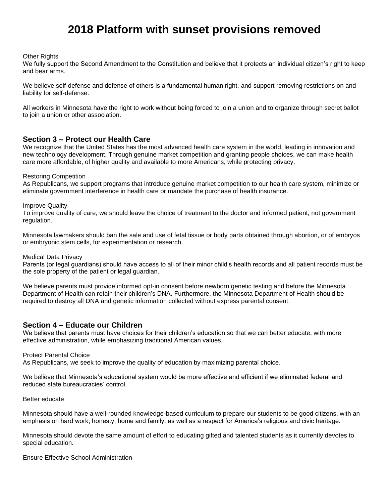Other Rights

We fully support the Second Amendment to the Constitution and believe that it protects an individual citizen's right to keep and bear arms.

We believe self-defense and defense of others is a fundamental human right, and support removing restrictions on and liability for self-defense.

All workers in Minnesota have the right to work without being forced to join a union and to organize through secret ballot to join a union or other association.

## **Section 3 – Protect our Health Care**

We recognize that the United States has the most advanced health care system in the world, leading in innovation and new technology development. Through genuine market competition and granting people choices, we can make health care more affordable, of higher quality and available to more Americans, while protecting privacy.

### Restoring Competition

As Republicans, we support programs that introduce genuine market competition to our health care system, minimize or eliminate government interference in health care or mandate the purchase of health insurance.

Improve Quality

To improve quality of care, we should leave the choice of treatment to the doctor and informed patient, not government regulation.

Minnesota lawmakers should ban the sale and use of fetal tissue or body parts obtained through abortion, or of embryos or embryonic stem cells, for experimentation or research.

Medical Data Privacy

Parents (or legal guardians) should have access to all of their minor child's health records and all patient records must be the sole property of the patient or legal guardian.

We believe parents must provide informed opt-in consent before newborn genetic testing and before the Minnesota Department of Health can retain their children's DNA. Furthermore, the Minnesota Department of Health should be required to destroy all DNA and genetic information collected without express parental consent.

## **Section 4 – Educate our Children**

We believe that parents must have choices for their children's education so that we can better educate, with more effective administration, while emphasizing traditional American values.

### Protect Parental Choice

As Republicans, we seek to improve the quality of education by maximizing parental choice.

We believe that Minnesota's educational system would be more effective and efficient if we eliminated federal and reduced state bureaucracies' control.

#### Better educate

Minnesota should have a well-rounded knowledge-based curriculum to prepare our students to be good citizens, with an emphasis on hard work, honesty, home and family, as well as a respect for America's religious and civic heritage.

Minnesota should devote the same amount of effort to educating gifted and talented students as it currently devotes to special education.

Ensure Effective School Administration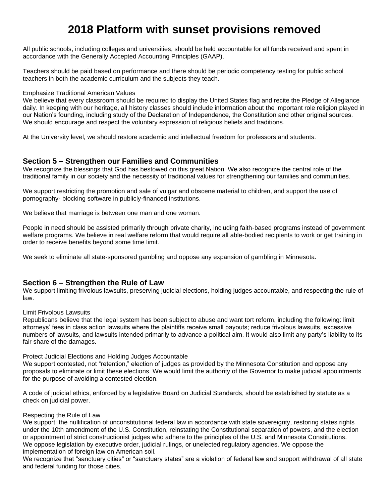All public schools, including colleges and universities, should be held accountable for all funds received and spent in accordance with the Generally Accepted Accounting Principles (GAAP).

Teachers should be paid based on performance and there should be periodic competency testing for public school teachers in both the academic curriculum and the subjects they teach.

#### Emphasize Traditional American Values

We believe that every classroom should be required to display the United States flag and recite the Pledge of Allegiance daily. In keeping with our heritage, all history classes should include information about the important role religion played in our Nation's founding, including study of the Declaration of Independence, the Constitution and other original sources. We should encourage and respect the voluntary expression of religious beliefs and traditions.

At the University level, we should restore academic and intellectual freedom for professors and students.

## **Section 5 – Strengthen our Families and Communities**

We recognize the blessings that God has bestowed on this great Nation. We also recognize the central role of the traditional family in our society and the necessity of traditional values for strengthening our families and communities.

We support restricting the promotion and sale of vulgar and obscene material to children, and support the use of pornography- blocking software in publicly-financed institutions.

We believe that marriage is between one man and one woman.

People in need should be assisted primarily through private charity, including faith-based programs instead of government welfare programs. We believe in real welfare reform that would require all able-bodied recipients to work or get training in order to receive benefits beyond some time limit.

We seek to eliminate all state-sponsored gambling and oppose any expansion of gambling in Minnesota.

## **Section 6 – Strengthen the Rule of Law**

We support limiting frivolous lawsuits, preserving judicial elections, holding judges accountable, and respecting the rule of law.

### Limit Frivolous Lawsuits

Republicans believe that the legal system has been subject to abuse and want tort reform, including the following: limit attorneys' fees in class action lawsuits where the plaintiffs receive small payouts; reduce frivolous lawsuits, excessive numbers of lawsuits, and lawsuits intended primarily to advance a political aim. It would also limit any party's liability to its fair share of the damages.

### Protect Judicial Elections and Holding Judges Accountable

We support contested, not "retention," election of judges as provided by the Minnesota Constitution and oppose any proposals to eliminate or limit these elections. We would limit the authority of the Governor to make judicial appointments for the purpose of avoiding a contested election.

A code of judicial ethics, enforced by a legislative Board on Judicial Standards, should be established by statute as a check on judicial power.

### Respecting the Rule of Law

We support: the nullification of unconstitutional federal law in accordance with state sovereignty, restoring states rights under the 10th amendment of the U.S. Constitution, reinstating the Constitutional separation of powers, and the election or appointment of strict constructionist judges who adhere to the principles of the U.S. and Minnesota Constitutions. We oppose legislation by executive order, judicial rulings, or unelected regulatory agencies. We oppose the implementation of foreign law on American soil.

We recognize that "sanctuary cities" or "sanctuary states" are a violation of federal law and support withdrawal of all state and federal funding for those cities.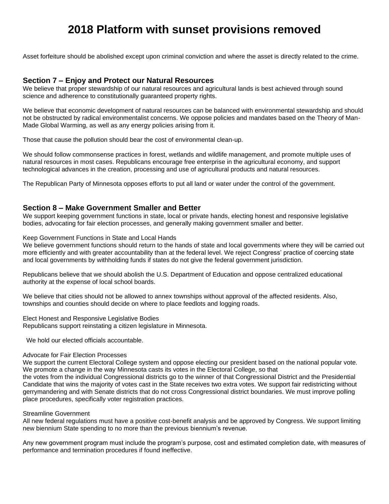Asset forfeiture should be abolished except upon criminal conviction and where the asset is directly related to the crime.

## **Section 7 – Enjoy and Protect our Natural Resources**

We believe that proper stewardship of our natural resources and agricultural lands is best achieved through sound science and adherence to constitutionally guaranteed property rights.

We believe that economic development of natural resources can be balanced with environmental stewardship and should not be obstructed by radical environmentalist concerns. We oppose policies and mandates based on the Theory of Man-Made Global Warming, as well as any energy policies arising from it.

Those that cause the pollution should bear the cost of environmental clean-up.

We should follow commonsense practices in forest, wetlands and wildlife management, and promote multiple uses of natural resources in most cases. Republicans encourage free enterprise in the agricultural economy, and support technological advances in the creation, processing and use of agricultural products and natural resources.

The Republican Party of Minnesota opposes efforts to put all land or water under the control of the government.

## **Section 8 – Make Government Smaller and Better**

We support keeping government functions in state, local or private hands, electing honest and responsive legislative bodies, advocating for fair election processes, and generally making government smaller and better.

Keep Government Functions in State and Local Hands

We believe government functions should return to the hands of state and local governments where they will be carried out more efficiently and with greater accountability than at the federal level. We reject Congress' practice of coercing state and local governments by withholding funds if states do not give the federal government jurisdiction.

Republicans believe that we should abolish the U.S. Department of Education and oppose centralized educational authority at the expense of local school boards.

We believe that cities should not be allowed to annex townships without approval of the affected residents. Also, townships and counties should decide on where to place feedlots and logging roads.

Elect Honest and Responsive Legislative Bodies Republicans support reinstating a citizen legislature in Minnesota.

We hold our elected officials accountable.

#### Advocate for Fair Election Processes

We support the current Electoral College system and oppose electing our president based on the national popular vote. We promote a change in the way Minnesota casts its votes in the Electoral College, so that

the votes from the individual Congressional districts go to the winner of that Congressional District and the Presidential Candidate that wins the majority of votes cast in the State receives two extra votes. We support fair redistricting without gerrymandering and with Senate districts that do not cross Congressional district boundaries. We must improve polling place procedures, specifically voter registration practices.

### Streamline Government

All new federal regulations must have a positive cost-benefit analysis and be approved by Congress. We support limiting new biennium State spending to no more than the previous biennium's revenue.

Any new government program must include the program's purpose, cost and estimated completion date, with measures of performance and termination procedures if found ineffective.